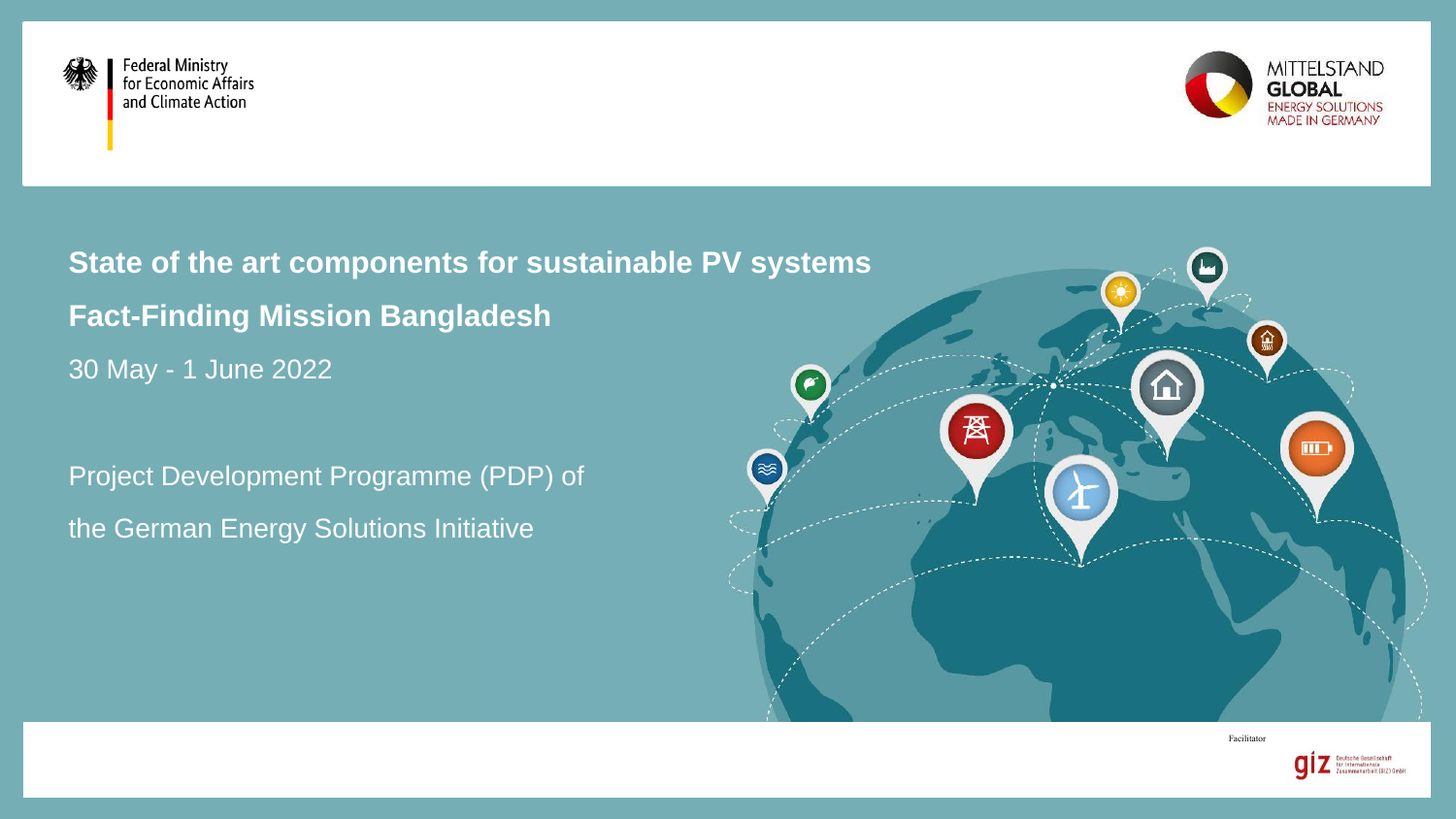

**Federal Ministry** for Economic Affairs and Climate Action



**State of the art components for sustainable PV systems Fact-Finding Mission Bangladesh** 30 May - 1 June 2022

Project Development Programme (PDP) of the German Energy Solutions Initiative



Facilitator

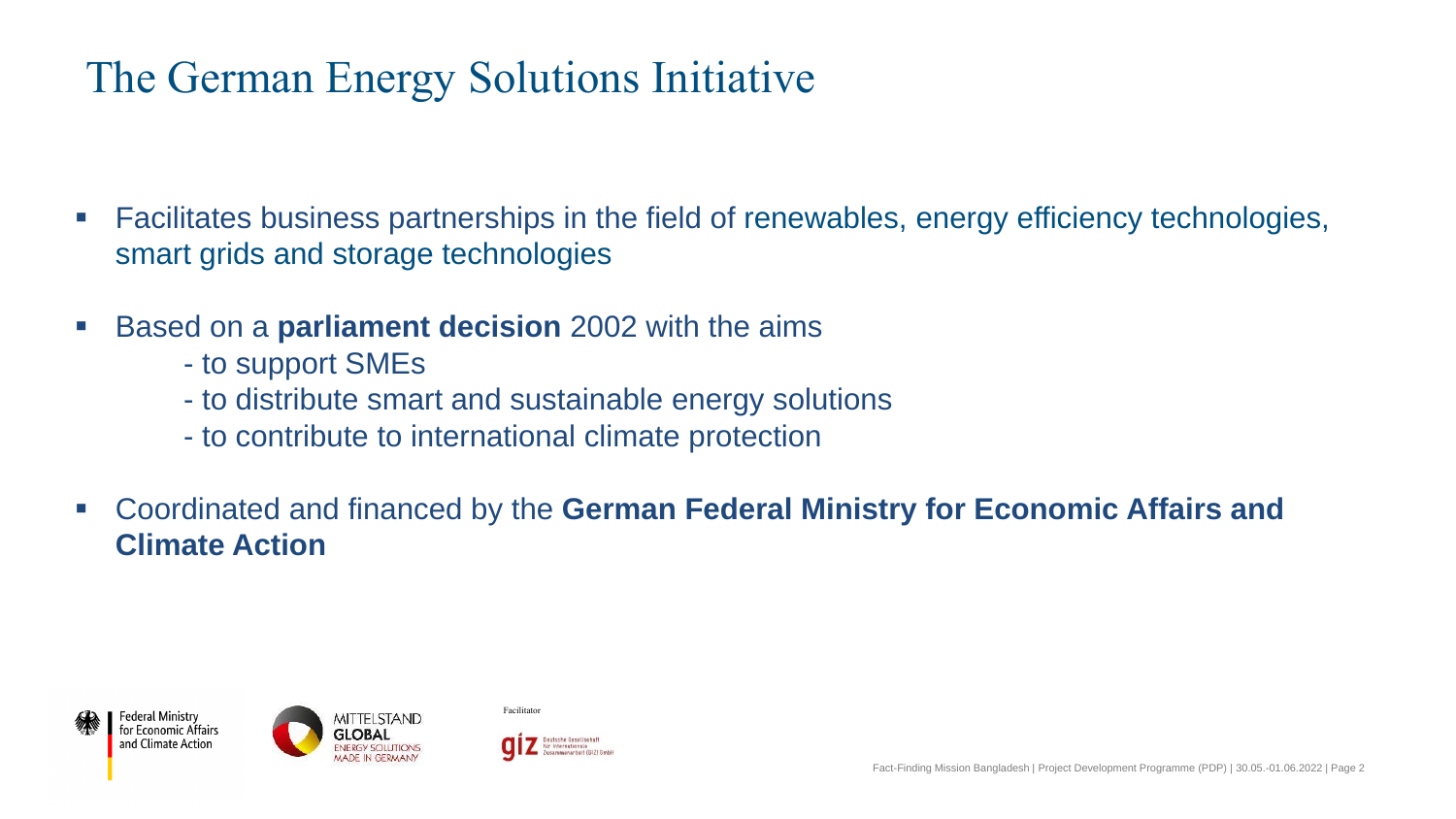### The German Energy Solutions Initiative

- Facilitates business partnerships in the field of renewables, energy efficiency technologies, smart grids and storage technologies
- **Based on a parliament decision** 2002 with the aims
	- to support SMEs
	- to distribute smart and sustainable energy solutions
	- to contribute to international climate protection
- Coordinated and financed by the **German Federal Ministry for Economic Affairs and Climate Action**







Facilitator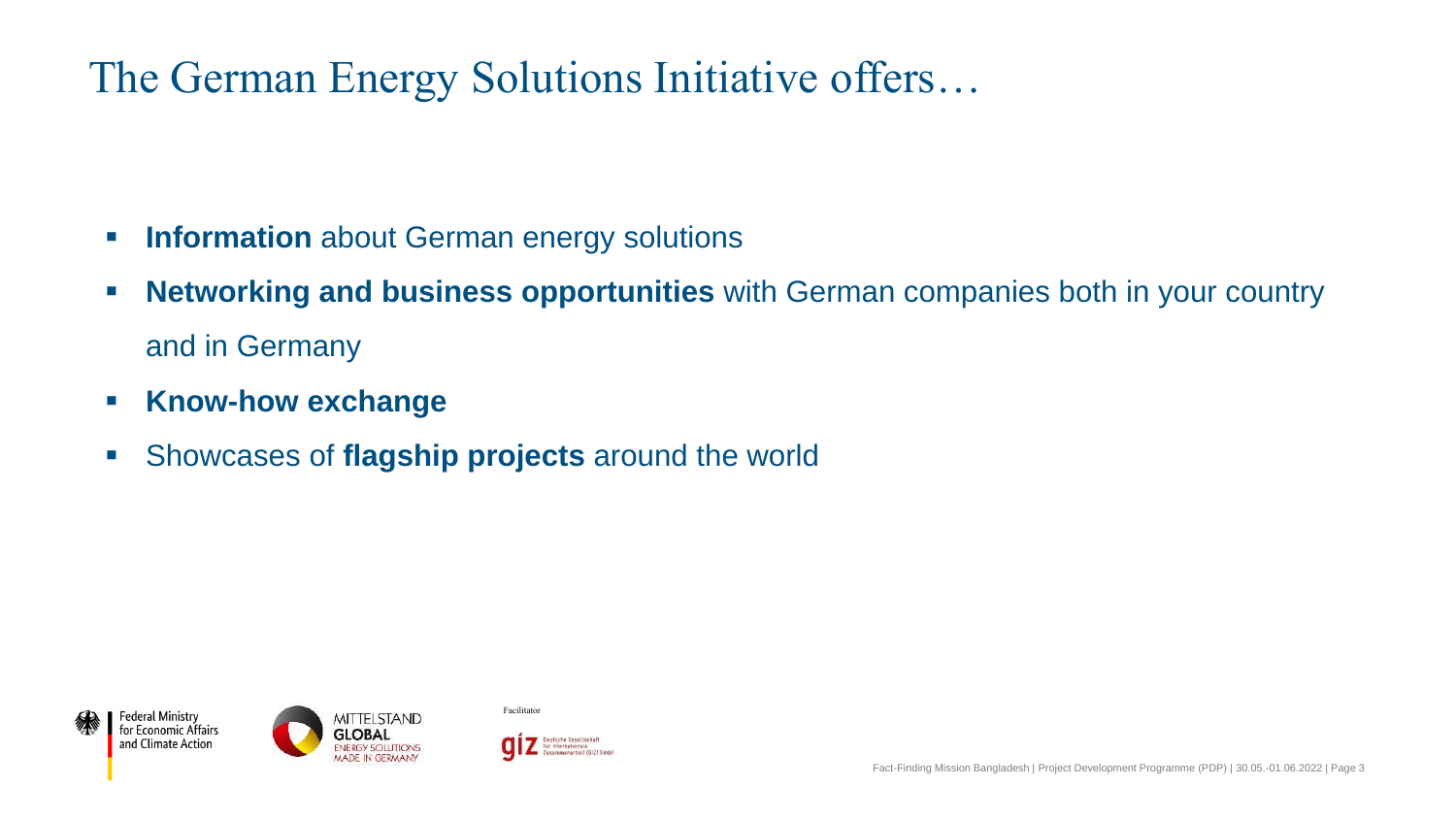### The German Energy Solutions Initiative offers…

- **EXEDENT Information** about German energy solutions
- **EXED FIGHT MET WORKING And BUSINESS opportunities** with German companies both in your country and in Germany
- **Know-how exchange**
- **EXEDENTIFY Showcases of flagship projects around the world**





Facilitator

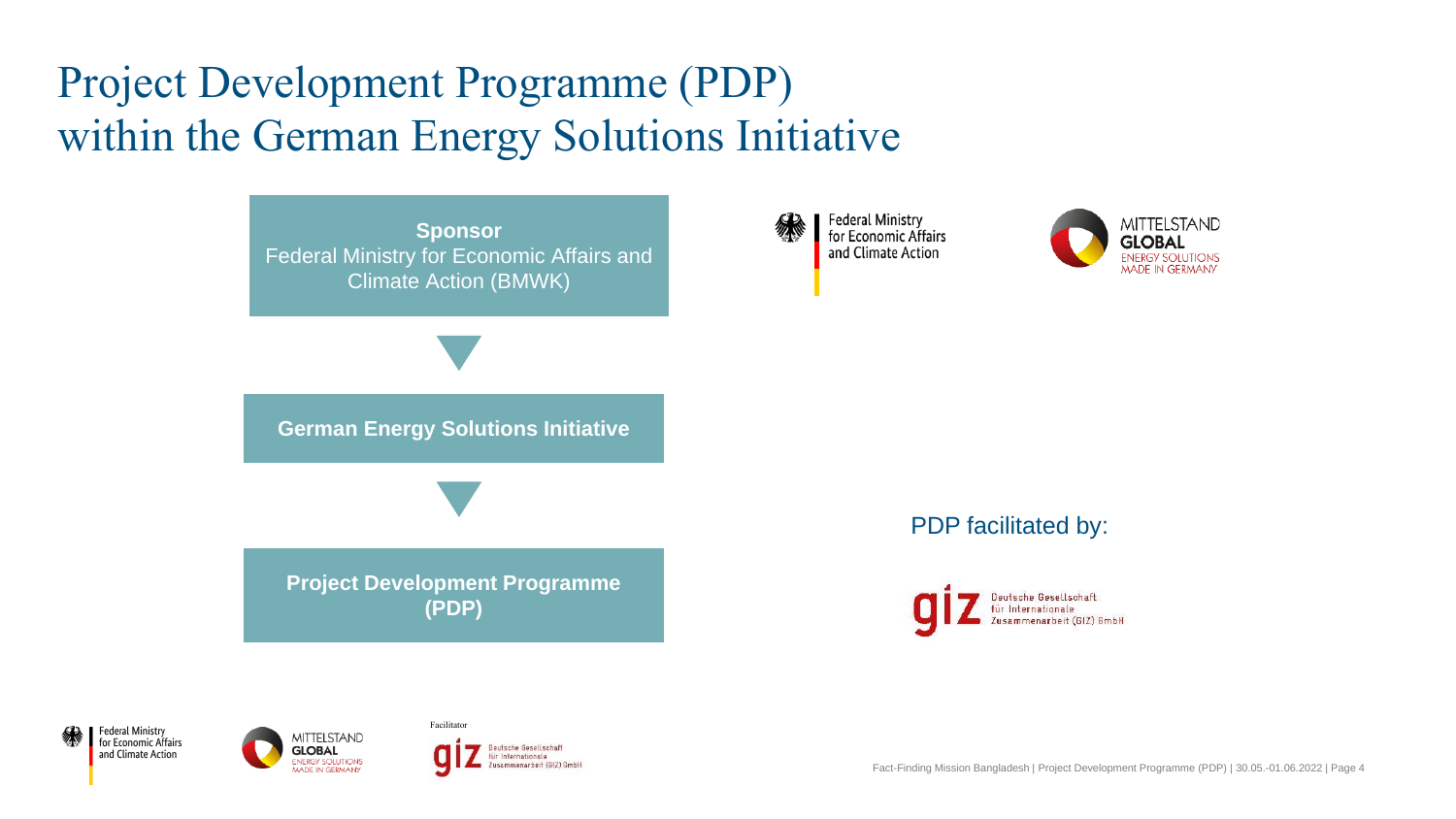# Project Development Programme (PDP) within the German Energy Solutions Initiative







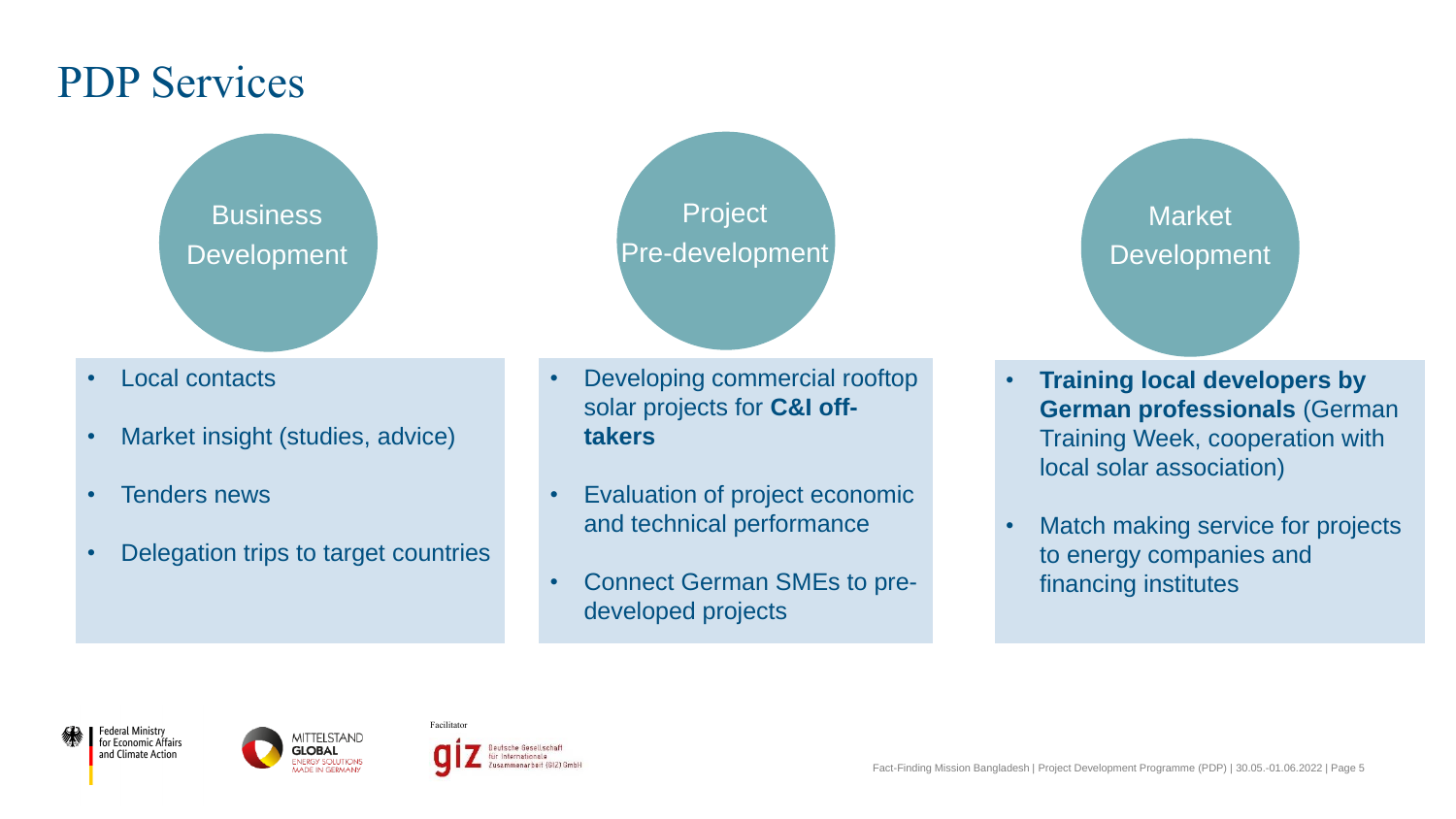### PDP Services

**Business** Development

- Local contacts
- Market insight (studies, advice)
- Tenders news
- Delegation trips to target countries

Project Pre-development

• Developing commercial rooftop solar projects for **C&I offtakers**

- Evaluation of project economic and technical performance
- Connect German SMEs to predeveloped projects

Market Development

- **Training local developers by German professionals** (German Training Week, cooperation with local solar association)
- Match making service for projects to energy companies and financing institutes

Federal Ministry for Economic Affairs and Climate Action



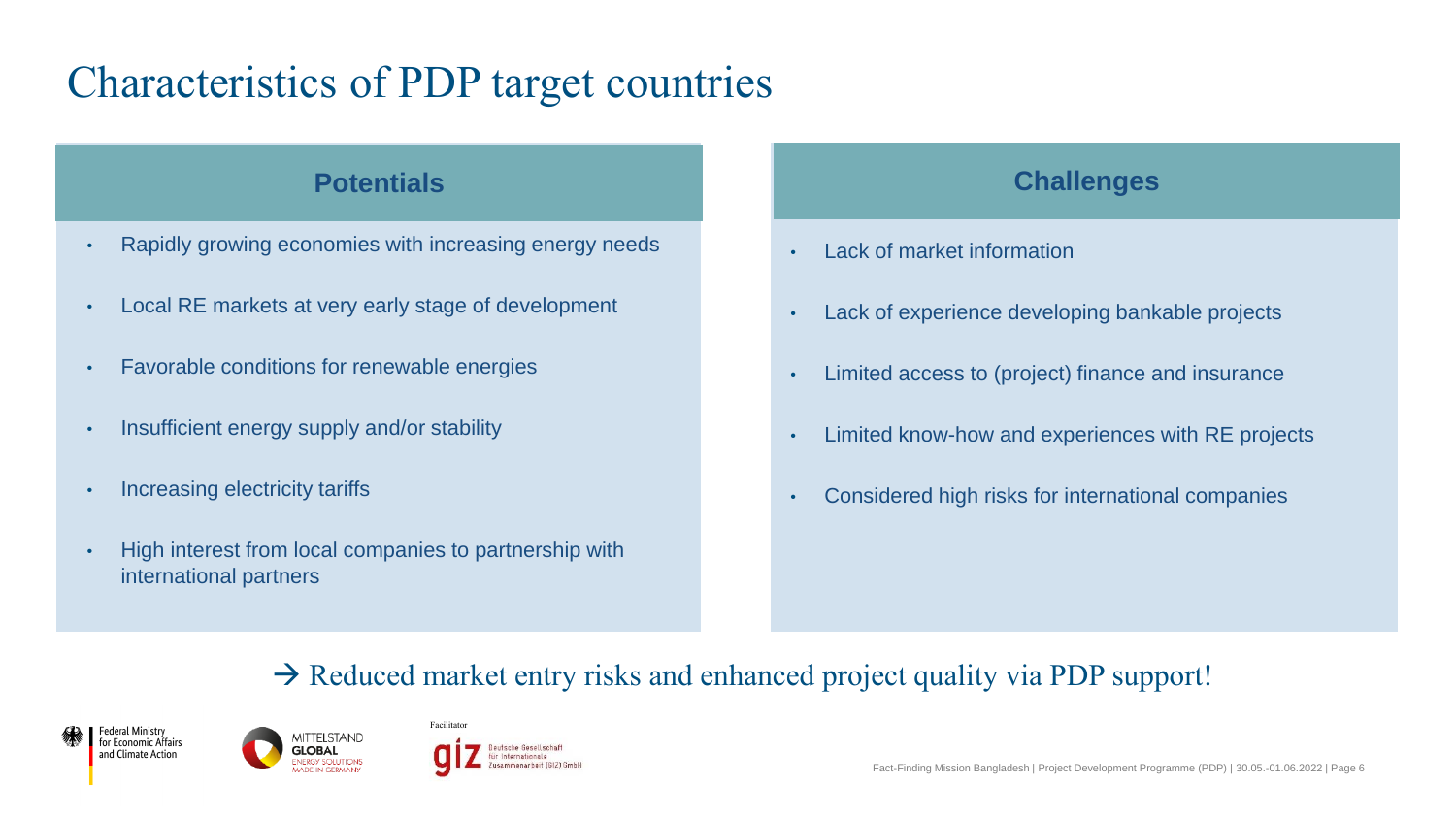## Characteristics of PDP target countries

#### **Potentials**

- Rapidly growing economies with increasing energy needs
- Local RE markets at very early stage of development
- Favorable conditions for renewable energies
- Insufficient energy supply and/or stability
- Increasing electricity tariffs
- High interest from local companies to partnership with international partners

#### **Challenges**

- Lack of market information
- Lack of experience developing bankable projects
- Limited access to (project) finance and insurance
- Limited know-how and experiences with RE projects
- Considered high risks for international companies

### $\rightarrow$  Reduced market entry risks and enhanced project quality via PDP support!





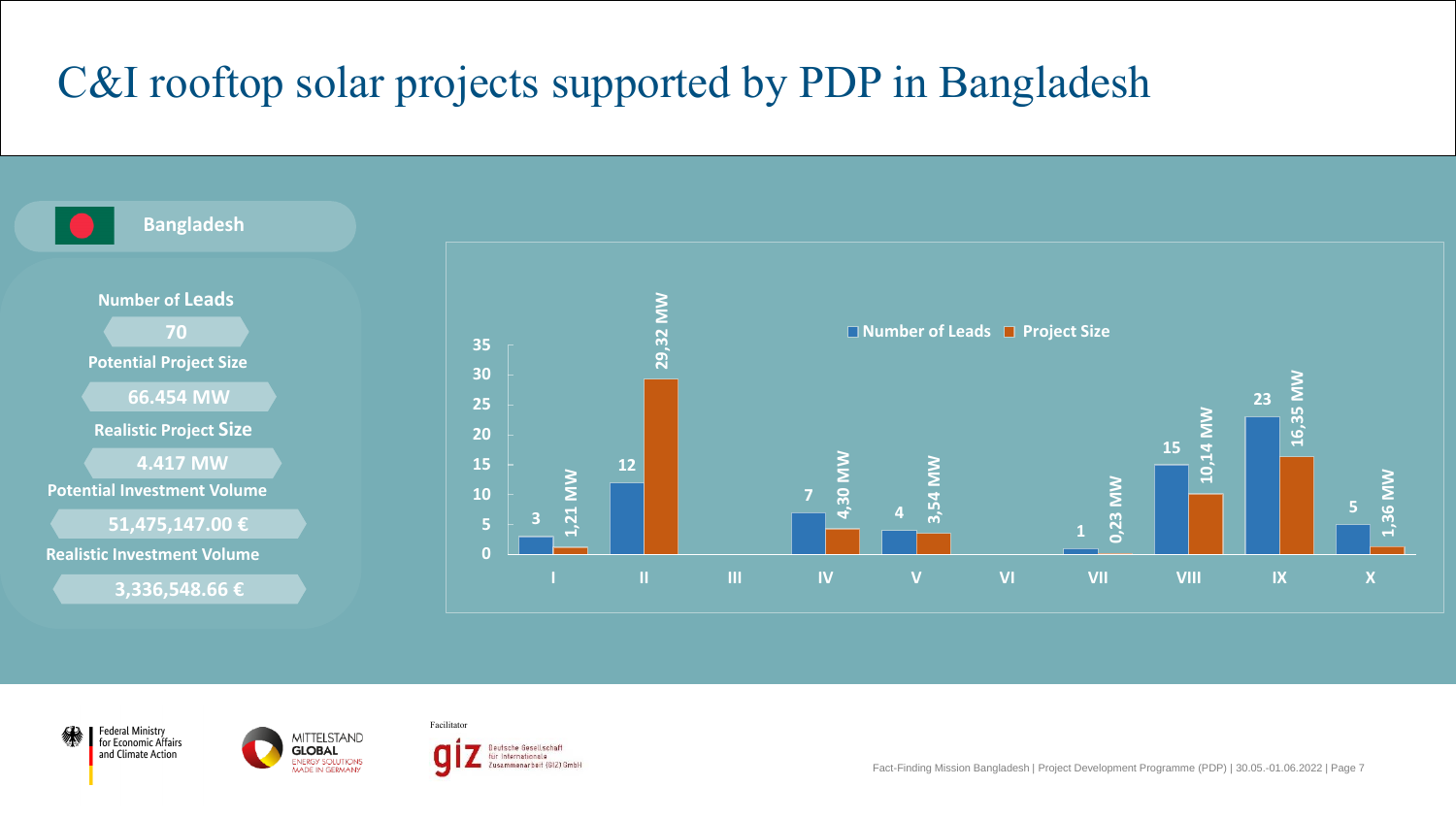# C&I rooftop solar projects supported by PDP in Bangladesh







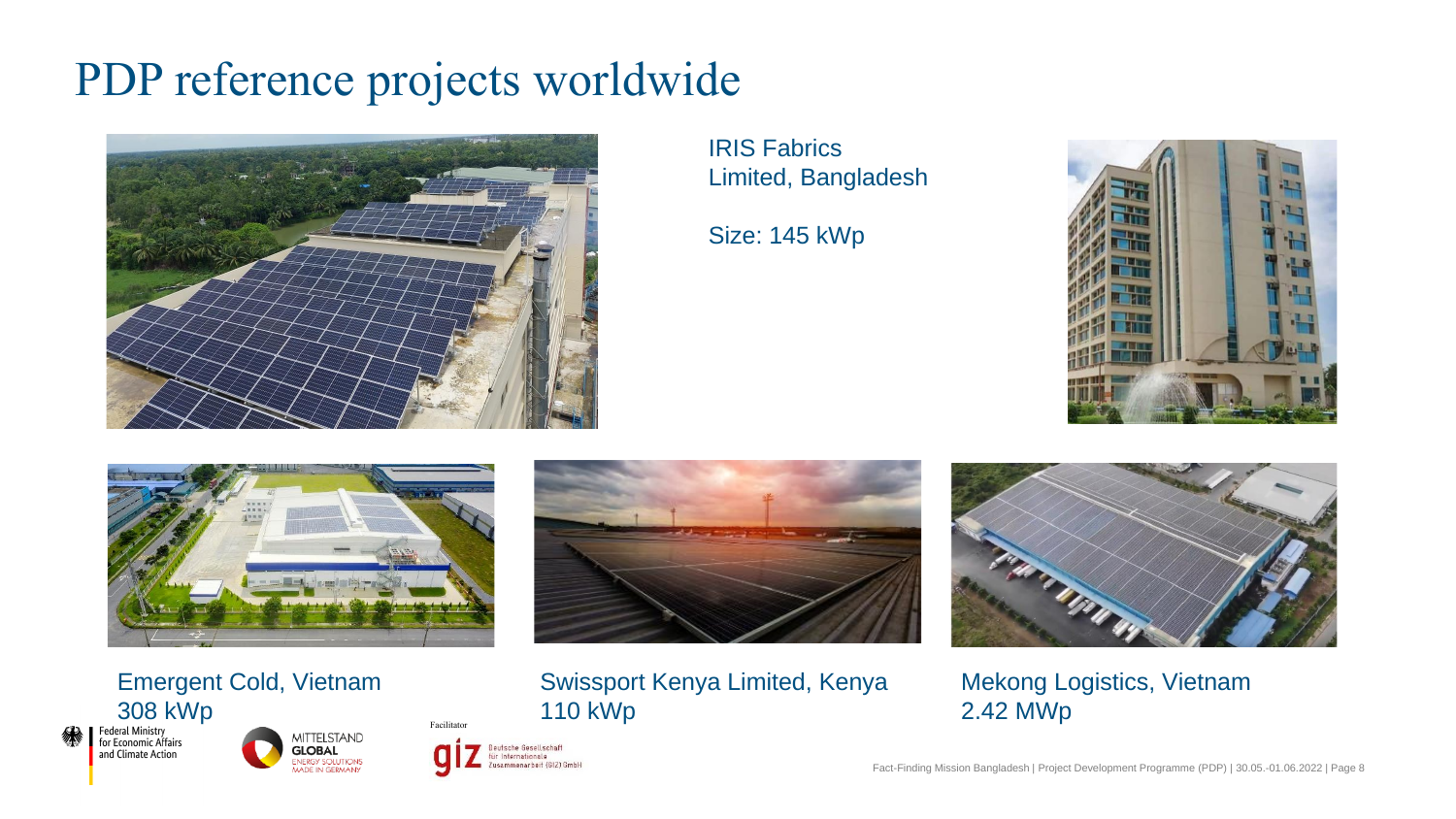# PDP reference projects worldwide



IRIS Fabrics Limited, Bangladesh

Size: 145 kWp





Emergent Cold, Vietnam 308 kWp<br>Federal Ministry<br>for Economic Affairs





Facilitator

Deutsche Gesellschaft

Zusammenarbeit (GIZ) GmbH

für Internationale



Swissport Kenya Limited, Kenya 110 kWp



Mekong Logistics, Vietnam 2.42 MWp

Fact-Finding Mission Bangladesh | Project Development Programme (PDP) | 30.05.-01.06.2022 | Page 8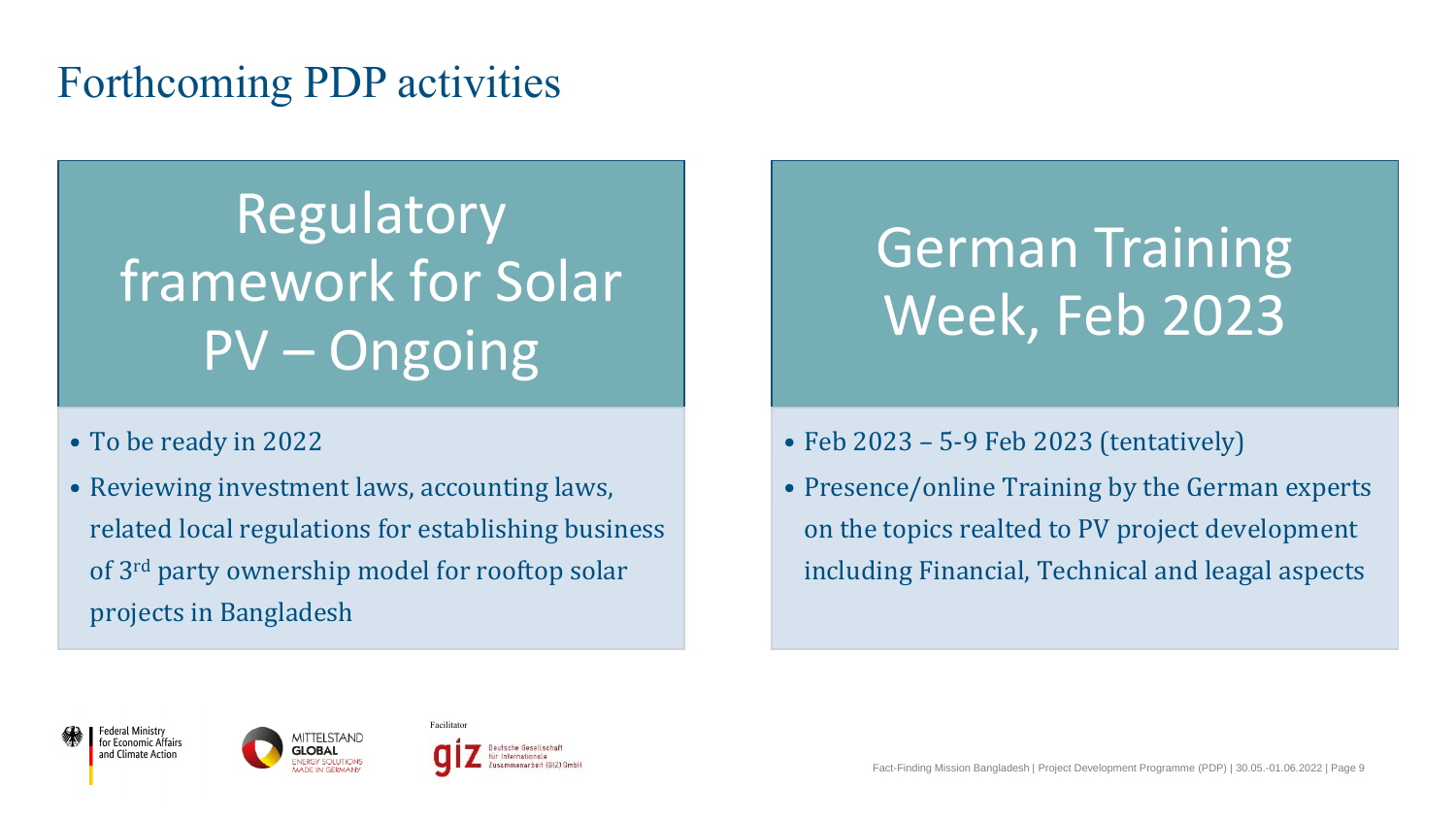### Forthcoming PDP activities

Regulatory framework for Solar PV – Ongoing

- To be ready in 2022
- Reviewing investment laws, accounting laws, related local regulations for establishing business of 3rd party ownership model for rooftop solar projects in Bangladesh

# German Training Week, Feb 2023

#### • Feb 2023 – 5-9 Feb 2023 (tentatively)

• Presence/online Training by the German experts on the topics realted to PV project development including Financial, Technical and leagal aspects